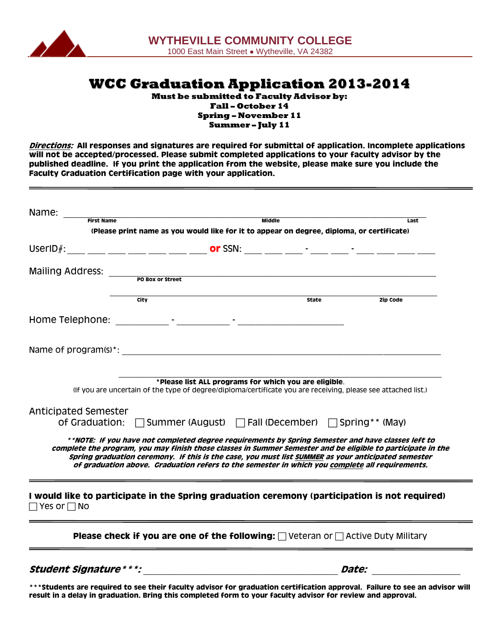

**WCC Graduation Application 2013-2014**

**Must be submitted to Faculty Advisor by: Fall – October 14 Spring – November 11 Summer – July 11**

**Directions: All responses and signatures are required for submittal of application. Incomplete applications will not be accepted/processed. Please submit completed applications to your faculty advisor by the published deadline. If you print the application from the website, please make sure you include the Faculty Graduation Certification page with your application.**

| Name:                                                                                                                        |                                                                                                                                                                                                                                                                                                                                                                                                                            |               |              |              |                 |
|------------------------------------------------------------------------------------------------------------------------------|----------------------------------------------------------------------------------------------------------------------------------------------------------------------------------------------------------------------------------------------------------------------------------------------------------------------------------------------------------------------------------------------------------------------------|---------------|--------------|--------------|-----------------|
| <b>First Name</b>                                                                                                            |                                                                                                                                                                                                                                                                                                                                                                                                                            | <b>Middle</b> |              |              | Last            |
|                                                                                                                              | (Please print name as you would like for it to appear on degree, diploma, or certificate)                                                                                                                                                                                                                                                                                                                                  |               |              |              |                 |
|                                                                                                                              |                                                                                                                                                                                                                                                                                                                                                                                                                            |               |              |              |                 |
| <b>Mailing Address:</b>                                                                                                      | PO Box or Street                                                                                                                                                                                                                                                                                                                                                                                                           |               |              |              |                 |
|                                                                                                                              | City                                                                                                                                                                                                                                                                                                                                                                                                                       |               | <b>State</b> |              | <b>Zip Code</b> |
|                                                                                                                              |                                                                                                                                                                                                                                                                                                                                                                                                                            |               |              |              |                 |
|                                                                                                                              |                                                                                                                                                                                                                                                                                                                                                                                                                            |               |              |              |                 |
|                                                                                                                              | *Please list ALL programs for which you are eligible.<br>(If you are uncertain of the type of degree/diploma/certificate you are receiving, please see attached list.)                                                                                                                                                                                                                                                     |               |              |              |                 |
| Anticipated Semester<br>of Graduation:                                                                                       | □ Summer (August) □ Fall (December) □ Spring** (May)                                                                                                                                                                                                                                                                                                                                                                       |               |              |              |                 |
|                                                                                                                              | **NOTE: If you have not completed degree requirements by Spring Semester and have classes left to**<br>complete the program, you may finish those classes in Summer Semester and be eligible to participate in the<br>Spring graduation ceremony. If this is the case, you must list SUMMER as your anticipated semester<br>of graduation above. Graduation refers to the semester in which you complete all requirements. |               |              |              |                 |
| I would like to participate in the Spring graduation ceremony (participation is not required)<br>$\sqcap$ Yes or $\sqcap$ No |                                                                                                                                                                                                                                                                                                                                                                                                                            |               |              |              |                 |
|                                                                                                                              | Please check if you are one of the following: $\Box$ Veteran or $\Box$ Active Duty Military                                                                                                                                                                                                                                                                                                                                |               |              |              |                 |
| <i><b>Student Signature * * *:</b></i>                                                                                       |                                                                                                                                                                                                                                                                                                                                                                                                                            |               |              | <i>Date:</i> |                 |

**\*\*\*Students are required to see their faculty advisor for graduation certification approval. Failure to see an advisor will result in a delay in graduation. Bring this completed form to your faculty advisor for review and approval.**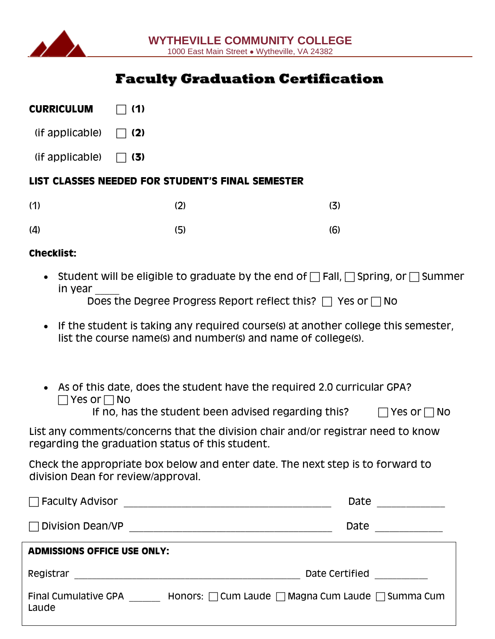

# **Faculty Graduation Certification**

| <b>CURRICULUM</b> | $\Box$ (1) |
|-------------------|------------|
|                   |            |

| (if applicable) | $\Box$ (2) |
|-----------------|------------|

 $(if$  applicable)  $\Box$  (3)

## **LIST CLASSES NEEDED FOR STUDENT'S FINAL SEMESTER**

| (1) | (2) | (3) |
|-----|-----|-----|
| (4) | (5) | (6) |

## **Checklist:**

• Student will be eligible to graduate by the end of  $\Box$  Fall,  $\Box$  Spring, or  $\Box$  Summer in year

Does the Degree Progress Report reflect this?  $\Box$  Yes or  $\Box$  No

- If the student is taking any required course(s) at another college this semester, list the course name(s) and number(s) and name of college(s).
- As of this date, does the student have the required 2.0 curricular GPA?  $\Box$  Yes or  $\Box$  No

If no, has the student been advised regarding this?  $\Box$  Yes or  $\Box$  No

List any comments/concerns that the division chair and/or registrar need to know regarding the graduation status of this student.

Check the appropriate box below and enter date. The next step is to forward to division Dean for review/approval.

| <b>Faculty Advisor</b>               | Date                                                             |  |
|--------------------------------------|------------------------------------------------------------------|--|
| Division Dean/VP                     | Date                                                             |  |
| <b>ADMISSIONS OFFICE USE ONLY:</b>   |                                                                  |  |
| Registrar                            | Date Certified                                                   |  |
| <b>Final Cumulative GPA</b><br>Laude | Honors: $\Box$ Cum Laude $\Box$ Magna Cum Laude $\Box$ Summa Cum |  |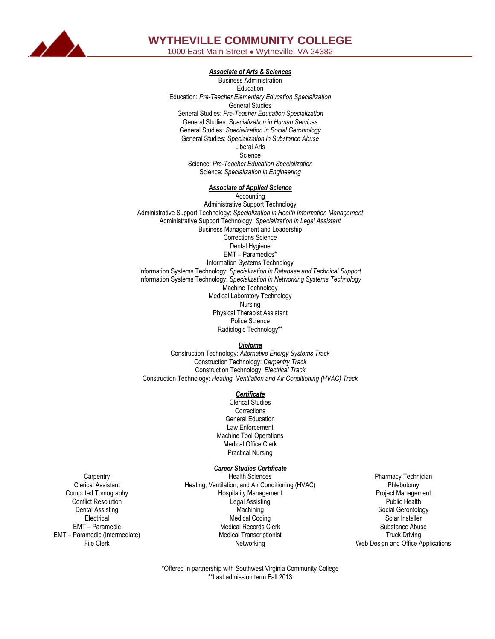

# **WYTHEVILLE COMMUNITY COLLEGE**

1000 East Main Street ● Wytheville, VA 24382

### *Associate of Arts & Sciences*

Business Administration Education Education: *Pre-Teacher Elementary Education Specialization* General Studies General Studies: *Pre-Teacher Education Specialization*  General Studies: *Specialization in Human Services*  General Studies: *Specialization in Social Gerontology* General Studies: *Specialization in Substance Abuse* Liberal Arts Science Science: *Pre-Teacher Education Specialization* Science: *Specialization in Engineering*

#### *Associate of Applied Science*

**Accounting** Administrative Support Technology Administrative Support Technology: *Specialization in Health Information Management* Administrative Support Technology: *Specialization in Legal Assistant* Business Management and Leadership Corrections Science Dental Hygiene EMT – Paramedics\* Information Systems Technology Information Systems Technology: *Specialization in Database and Technical Support* Information Systems Technology: *Specialization in Networking Systems Technology* Machine Technology Medical Laboratory Technology Nursing Physical Therapist Assistant Police Science Radiologic Technology\*\*

*Diploma*

Construction Technology: *Alternative Energy Systems Track* Construction Technology: *Carpentry Track* Construction Technology: *Electrical Track* Construction Technology: *Heating, Ventilation and Air Conditioning (HVAC) Track*

#### *Certificate*

Clerical Studies **Corrections** General Education Law Enforcement Machine Tool Operations Medical Office Clerk Practical Nursing

### *Career Studies Certificate*

- **Carpentry** Clerical Assistant Computed Tomography Conflict Resolution Dental Assisting **Electrical** EMT – Paramedic EMT – Paramedic (Intermediate) File Clerk
- Health Sciences Heating, Ventilation, and Air Conditioning (HVAC) Hospitality Management Legal Assisting **Machining** Medical Coding Medical Records Clerk Medical Transcriptionist Networking
- Pharmacy Technician Phlebotomy Project Management Public Health Social Gerontology Solar Installer Substance Abuse Truck Driving Web Design and Office Applications

\*Offered in partnership with Southwest Virginia Community College \*\*Last admission term Fall 2013